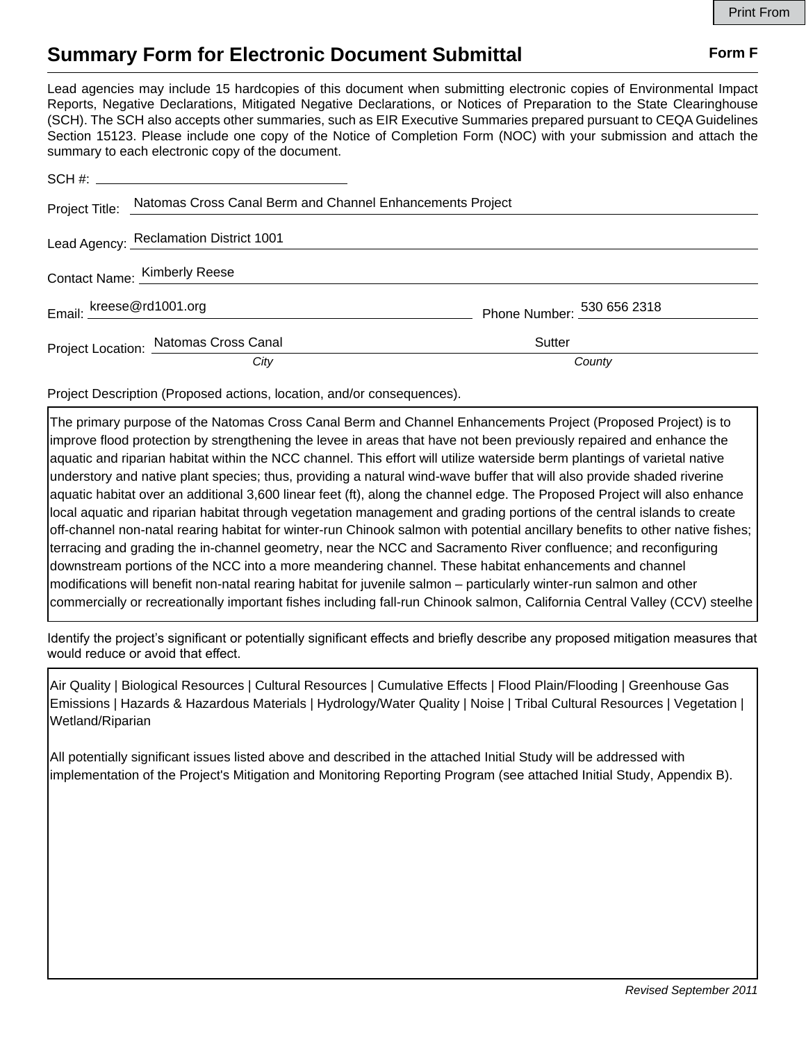## **Summary Form for Electronic Document Submittal Form F Form F**

Lead agencies may include 15 hardcopies of this document when submitting electronic copies of Environmental Impact Reports, Negative Declarations, Mitigated Negative Declarations, or Notices of Preparation to the State Clearinghouse (SCH). The SCH also accepts other summaries, such as EIR Executive Summaries prepared pursuant to CEQA Guidelines Section 15123. Please include one copy of the Notice of Completion Form (NOC) with your submission and attach the summary to each electronic copy of the document.

|  | Project Title: Natomas Cross Canal Berm and Channel Enhancements Project |                            |
|--|--------------------------------------------------------------------------|----------------------------|
|  | Lead Agency: Reclamation District 1001                                   |                            |
|  | Contact Name: Kimberly Reese                                             |                            |
|  | Email: $k$ reese@rd1001.org                                              | Phone Number: 530 656 2318 |
|  | Project Location: Natomas Cross Canal                                    | Sutter                     |
|  | City                                                                     | County                     |

Project Description (Proposed actions, location, and/or consequences).

The primary purpose of the Natomas Cross Canal Berm and Channel Enhancements Project (Proposed Project) is to improve flood protection by strengthening the levee in areas that have not been previously repaired and enhance the aquatic and riparian habitat within the NCC channel. This effort will utilize waterside berm plantings of varietal native understory and native plant species; thus, providing a natural wind-wave buffer that will also provide shaded riverine aquatic habitat over an additional 3,600 linear feet (ft), along the channel edge. The Proposed Project will also enhance local aquatic and riparian habitat through vegetation management and grading portions of the central islands to create off-channel non-natal rearing habitat for winter-run Chinook salmon with potential ancillary benefits to other native fishes; terracing and grading the in-channel geometry, near the NCC and Sacramento River confluence; and reconfiguring downstream portions of the NCC into a more meandering channel. These habitat enhancements and channel modifications will benefit non-natal rearing habitat for juvenile salmon – particularly winter-run salmon and other commercially or recreationally important fishes including fall-run Chinook salmon, California Central Valley (CCV) steelhe

Identify the project's significant or potentially significant effects and briefly describe any proposed mitigation measures that would reduce or avoid that effect.

Air Quality | Biological Resources | Cultural Resources | Cumulative Effects | Flood Plain/Flooding | Greenhouse Gas Emissions | Hazards & Hazardous Materials | Hydrology/Water Quality | Noise | Tribal Cultural Resources | Vegetation | Wetland/Riparian

All potentially significant issues listed above and described in the attached Initial Study will be addressed with implementation of the Project's Mitigation and Monitoring Reporting Program (see attached Initial Study, Appendix B).